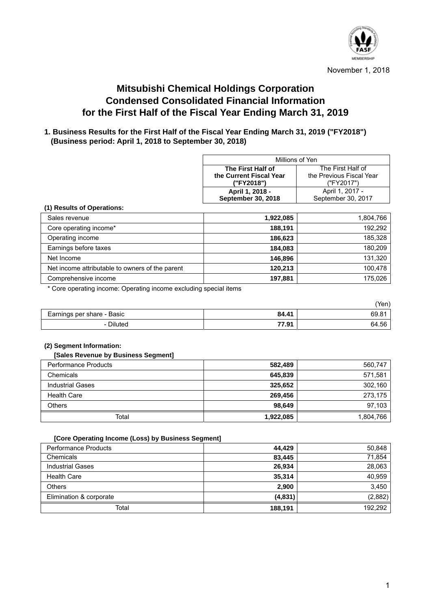

November 1, 2018

# **Mitsubishi Chemical Holdings Corporation Condensed Consolidated Financial Information for the First Half of the Fiscal Year Ending March 31, 2019**

# **1. Business Results for the First Half of the Fiscal Year Ending March 31, 2019 ("FY2018") (Business period: April 1, 2018 to September 30, 2018)**

| Millions of Yen                                     |                    |  |  |
|-----------------------------------------------------|--------------------|--|--|
| The First Half of                                   | The First Half of  |  |  |
| the Previous Fiscal Year<br>the Current Fiscal Year |                    |  |  |
| ("FY2018")<br>("FY2017")                            |                    |  |  |
| April 1, 2018 -                                     | April 1, 2017 -    |  |  |
| <b>September 30, 2018</b>                           | September 30, 2017 |  |  |

#### **(1) Results of Operations:**

| Sales revenue                                   | 1,922,085 | 1,804,766 |
|-------------------------------------------------|-----------|-----------|
| Core operating income*                          | 188,191   | 192,292   |
| Operating income                                | 186,623   | 185,328   |
| Earnings before taxes                           | 184.083   | 180.209   |
| Net Income                                      | 146,896   | 131,320   |
| Net income attributable to owners of the parent | 120,213   | 100.478   |
| Comprehensive income                            | 197,881   | 175,026   |

\* Core operating income: Operating income excluding special items

|                            |       | 'Yen) |
|----------------------------|-------|-------|
| Earnings per share - Basic | 84.41 | 69.8' |
| Diluted                    | 77.91 | 64.56 |

#### **(2) Segment Information:**

Ι

Ι

#### **[Sales Revenue by Business Segment]**

| <b>Performance Products</b> | 582,489   | 560,747   |
|-----------------------------|-----------|-----------|
| Chemicals                   | 645,839   | 571,581   |
| <b>Industrial Gases</b>     | 325,652   | 302,160   |
| Health Care                 | 269,456   | 273,175   |
| Others                      | 98,649    | 97,103    |
| Total                       | 1,922,085 | 1,804,766 |

#### **[Core Operating Income (Loss) by Business Segment]**

| <b>Performance Products</b> | 44,429   | 50,848  |
|-----------------------------|----------|---------|
| Chemicals                   | 83.445   | 71,854  |
| <b>Industrial Gases</b>     | 26.934   | 28,063  |
| <b>Health Care</b>          | 35,314   | 40,959  |
| <b>Others</b>               | 2,900    | 3,450   |
| Elimination & corporate     | (4, 831) | (2,882) |
| Total                       | 188,191  | 192.292 |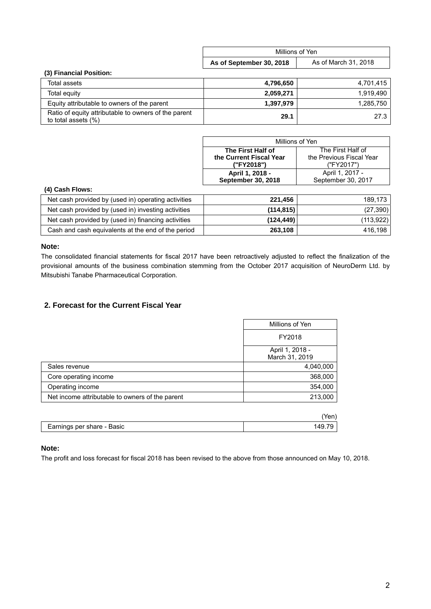|                                                                             | Millions of Yen          |                      |  |
|-----------------------------------------------------------------------------|--------------------------|----------------------|--|
|                                                                             | As of September 30, 2018 | As of March 31, 2018 |  |
| (3) Financial Position:                                                     |                          |                      |  |
| Total assets                                                                | 4,796,650                | 4,701,415            |  |
| Total equity                                                                | 2,059,271                | 1.919.490            |  |
| Equity attributable to owners of the parent                                 | 1,397,979                | 1,285,750            |  |
| Ratio of equity attributable to owners of the parent<br>to total assets (%) | 29.1                     | 27.3                 |  |

| Millions of Yen                                     |                    |  |  |
|-----------------------------------------------------|--------------------|--|--|
| The First Half of                                   | The First Half of  |  |  |
| the Previous Fiscal Year<br>the Current Fiscal Year |                    |  |  |
| ("FY2017")<br>("FY2018")                            |                    |  |  |
| April 1, 2018 -                                     | April 1, 2017 -    |  |  |
| September 30, 2018                                  | September 30, 2017 |  |  |

#### **(4) Cash Flows:**

| Net cash provided by (used in) operating activities | 221,456    | 189.173    |
|-----------------------------------------------------|------------|------------|
| Net cash provided by (used in) investing activities | (114, 815) | (27, 390)  |
| Net cash provided by (used in) financing activities | (124, 449) | (113, 922) |
| Cash and cash equivalents at the end of the period  | 263,108    | 416.198    |

#### **Note:**

The consolidated financial statements for fiscal 2017 have been retroactively adjusted to reflect the finalization of the provisional amounts of the business combination stemming from the October 2017 acquisition of NeuroDerm Ltd. by Mitsubishi Tanabe Pharmaceutical Corporation.

### **2. Forecast for the Current Fiscal Year**

|                                                 | Millions of Yen                   |
|-------------------------------------------------|-----------------------------------|
|                                                 | FY2018                            |
|                                                 | April 1, 2018 -<br>March 31, 2019 |
| Sales revenue                                   | 4,040,000                         |
| Core operating income                           | 368,000                           |
| Operating income                                | 354,000                           |
| Net income attributable to owners of the parent | 213,000                           |
|                                                 |                                   |

| Earnings per share - Basic | 149.1. |
|----------------------------|--------|

#### **Note:**

The profit and loss forecast for fiscal 2018 has been revised to the above from those announced on May 10, 2018.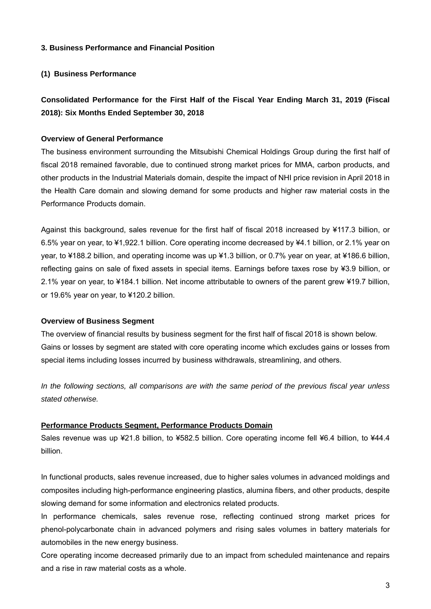#### **3. Business Performance and Financial Position**

### **(1) Business Performance**

# **Consolidated Performance for the First Half of the Fiscal Year Ending March 31, 2019 (Fiscal 2018): Six Months Ended September 30, 2018**

#### **Overview of General Performance**

The business environment surrounding the Mitsubishi Chemical Holdings Group during the first half of fiscal 2018 remained favorable, due to continued strong market prices for MMA, carbon products, and other products in the Industrial Materials domain, despite the impact of NHI price revision in April 2018 in the Health Care domain and slowing demand for some products and higher raw material costs in the Performance Products domain.

Against this background, sales revenue for the first half of fiscal 2018 increased by ¥117.3 billion, or 6.5% year on year, to ¥1,922.1 billion. Core operating income decreased by ¥4.1 billion, or 2.1% year on year, to ¥188.2 billion, and operating income was up ¥1.3 billion, or 0.7% year on year, at ¥186.6 billion, reflecting gains on sale of fixed assets in special items. Earnings before taxes rose by ¥3.9 billion, or 2.1% year on year, to ¥184.1 billion. Net income attributable to owners of the parent grew ¥19.7 billion, or 19.6% year on year, to ¥120.2 billion.

#### **Overview of Business Segment**

The overview of financial results by business segment for the first half of fiscal 2018 is shown below. Gains or losses by segment are stated with core operating income which excludes gains or losses from special items including losses incurred by business withdrawals, streamlining, and others.

*In the following sections, all comparisons are with the same period of the previous fiscal year unless stated otherwise.* 

#### **Performance Products Segment, Performance Products Domain**

Sales revenue was up ¥21.8 billion, to ¥582.5 billion. Core operating income fell ¥6.4 billion, to ¥44.4 billion.

In functional products, sales revenue increased, due to higher sales volumes in advanced moldings and composites including high-performance engineering plastics, alumina fibers, and other products, despite slowing demand for some information and electronics related products.

In performance chemicals, sales revenue rose, reflecting continued strong market prices for phenol-polycarbonate chain in advanced polymers and rising sales volumes in battery materials for automobiles in the new energy business.

Core operating income decreased primarily due to an impact from scheduled maintenance and repairs and a rise in raw material costs as a whole.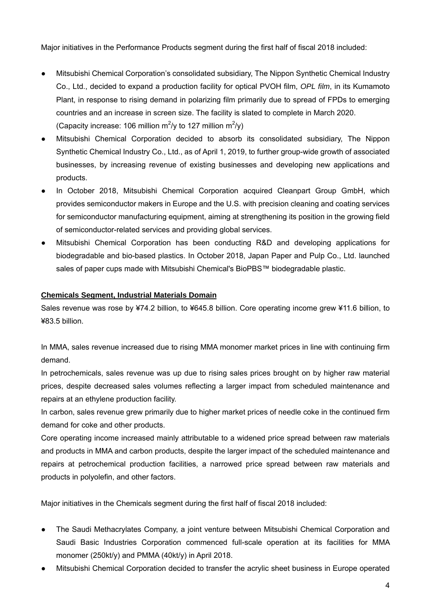Major initiatives in the Performance Products segment during the first half of fiscal 2018 included:

- Mitsubishi Chemical Corporation's consolidated subsidiary, The Nippon Synthetic Chemical Industry Co., Ltd., decided to expand a production facility for optical PVOH film, *OPL film*, in its Kumamoto Plant, in response to rising demand in polarizing film primarily due to spread of FPDs to emerging countries and an increase in screen size. The facility is slated to complete in March 2020. (Capacity increase: 106 million m<sup>2</sup>/y to 127 million m<sup>2</sup>/y)
- Mitsubishi Chemical Corporation decided to absorb its consolidated subsidiary, The Nippon Synthetic Chemical Industry Co., Ltd., as of April 1, 2019, to further group-wide growth of associated businesses, by increasing revenue of existing businesses and developing new applications and products.
- In October 2018, Mitsubishi Chemical Corporation acquired Cleanpart Group GmbH, which provides semiconductor makers in Europe and the U.S. with precision cleaning and coating services for semiconductor manufacturing equipment, aiming at strengthening its position in the growing field of semiconductor-related services and providing global services.
- Mitsubishi Chemical Corporation has been conducting R&D and developing applications for biodegradable and bio-based plastics. In October 2018, Japan Paper and Pulp Co., Ltd. launched sales of paper cups made with Mitsubishi Chemical's BioPBS™ biodegradable plastic.

# **Chemicals Segment, Industrial Materials Domain**

Sales revenue was rose by ¥74.2 billion, to ¥645.8 billion. Core operating income grew ¥11.6 billion, to ¥83.5 billion.

In MMA, sales revenue increased due to rising MMA monomer market prices in line with continuing firm demand.

In petrochemicals, sales revenue was up due to rising sales prices brought on by higher raw material prices, despite decreased sales volumes reflecting a larger impact from scheduled maintenance and repairs at an ethylene production facility.

In carbon, sales revenue grew primarily due to higher market prices of needle coke in the continued firm demand for coke and other products.

Core operating income increased mainly attributable to a widened price spread between raw materials and products in MMA and carbon products, despite the larger impact of the scheduled maintenance and repairs at petrochemical production facilities, a narrowed price spread between raw materials and products in polyolefin, and other factors.

Major initiatives in the Chemicals segment during the first half of fiscal 2018 included:

- The Saudi Methacrylates Company, a joint venture between Mitsubishi Chemical Corporation and Saudi Basic Industries Corporation commenced full-scale operation at its facilities for MMA monomer (250kt/y) and PMMA (40kt/y) in April 2018.
- Mitsubishi Chemical Corporation decided to transfer the acrylic sheet business in Europe operated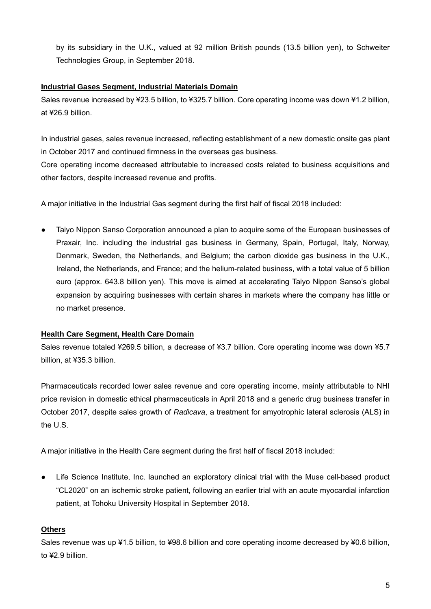by its subsidiary in the U.K., valued at 92 million British pounds (13.5 billion yen), to Schweiter Technologies Group, in September 2018.

# **Industrial Gases Segment, Industrial Materials Domain**

Sales revenue increased by ¥23.5 billion, to ¥325.7 billion. Core operating income was down ¥1.2 billion, at ¥26.9 billion.

In industrial gases, sales revenue increased, reflecting establishment of a new domestic onsite gas plant in October 2017 and continued firmness in the overseas gas business.

Core operating income decreased attributable to increased costs related to business acquisitions and other factors, despite increased revenue and profits.

A major initiative in the Industrial Gas segment during the first half of fiscal 2018 included:

Taiyo Nippon Sanso Corporation announced a plan to acquire some of the European businesses of Praxair, Inc. including the industrial gas business in Germany, Spain, Portugal, Italy, Norway, Denmark, Sweden, the Netherlands, and Belgium; the carbon dioxide gas business in the U.K., Ireland, the Netherlands, and France; and the helium-related business, with a total value of 5 billion euro (approx. 643.8 billion yen). This move is aimed at accelerating Taiyo Nippon Sanso's global expansion by acquiring businesses with certain shares in markets where the company has little or no market presence.

# **Health Care Segment, Health Care Domain**

Sales revenue totaled ¥269.5 billion, a decrease of ¥3.7 billion. Core operating income was down ¥5.7 billion, at ¥35.3 billion.

Pharmaceuticals recorded lower sales revenue and core operating income, mainly attributable to NHI price revision in domestic ethical pharmaceuticals in April 2018 and a generic drug business transfer in October 2017, despite sales growth of *Radicava*, a treatment for amyotrophic lateral sclerosis (ALS) in the U.S.

A major initiative in the Health Care segment during the first half of fiscal 2018 included:

● Life Science Institute, Inc. launched an exploratory clinical trial with the Muse cell-based product "CL2020" on an ischemic stroke patient, following an earlier trial with an acute myocardial infarction patient, at Tohoku University Hospital in September 2018.

# **Others**

Sales revenue was up ¥1.5 billion, to ¥98.6 billion and core operating income decreased by ¥0.6 billion, to ¥2.9 billion.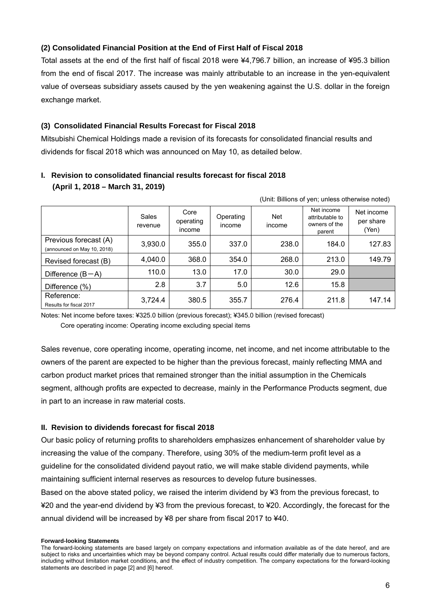# **(2) Consolidated Financial Position at the End of First Half of Fiscal 2018**

Total assets at the end of the first half of fiscal 2018 were ¥4,796.7 billion, an increase of ¥95.3 billion from the end of fiscal 2017. The increase was mainly attributable to an increase in the yen-equivalent value of overseas subsidiary assets caused by the yen weakening against the U.S. dollar in the foreign exchange market.

# **(3) Consolidated Financial Results Forecast for Fiscal 2018**

Mitsubishi Chemical Holdings made a revision of its forecasts for consolidated financial results and dividends for fiscal 2018 which was announced on May 10, as detailed below.

| (Unit: Billions of yen; unless otherwise noted)      |                  |                             |                     |                      |                                                          |                                  |
|------------------------------------------------------|------------------|-----------------------------|---------------------|----------------------|----------------------------------------------------------|----------------------------------|
|                                                      | Sales<br>revenue | Core<br>operating<br>income | Operating<br>income | <b>Net</b><br>income | Net income<br>attributable to<br>owners of the<br>parent | Net income<br>per share<br>(Yen) |
| Previous forecast (A)<br>(announced on May 10, 2018) | 3,930.0          | 355.0                       | 337.0               | 238.0                | 184.0                                                    | 127.83                           |
| Revised forecast (B)                                 | 4,040.0          | 368.0                       | 354.0               | 268.0                | 213.0                                                    | 149.79                           |
| Difference $(B-A)$                                   | 110.0            | 13.0                        | 17.0                | 30.0                 | 29.0                                                     |                                  |
| Difference (%)                                       | 2.8              | 3.7                         | 5.0                 | 12.6                 | 15.8                                                     |                                  |
| Reference:<br>Results for fiscal 2017                | 3,724.4          | 380.5                       | 355.7               | 276.4                | 211.8                                                    | 147.14                           |

# **I. Revision to consolidated financial results forecast for fiscal 2018 (April 1, 2018 – March 31, 2019)**

Notes: Net income before taxes: ¥325.0 billion (previous forecast); ¥345.0 billion (revised forecast) Core operating income: Operating income excluding special items

Sales revenue, core operating income, operating income, net income, and net income attributable to the owners of the parent are expected to be higher than the previous forecast, mainly reflecting MMA and carbon product market prices that remained stronger than the initial assumption in the Chemicals segment, although profits are expected to decrease, mainly in the Performance Products segment, due in part to an increase in raw material costs.

# **II. Revision to dividends forecast for fiscal 2018**

Our basic policy of returning profits to shareholders emphasizes enhancement of shareholder value by increasing the value of the company. Therefore, using 30% of the medium-term profit level as a guideline for the consolidated dividend payout ratio, we will make stable dividend payments, while maintaining sufficient internal reserves as resources to develop future businesses. Based on the above stated policy, we raised the interim dividend by ¥3 from the previous forecast, to ¥20 and the year-end dividend by ¥3 from the previous forecast, to ¥20. Accordingly, the forecast for the annual dividend will be increased by ¥8 per share from fiscal 2017 to ¥40.

#### **Forward-looking Statements**

The forward-looking statements are based largely on company expectations and information available as of the date hereof, and are subject to risks and uncertainties which may be beyond company control. Actual results could differ materially due to numerous factors, including without limitation market conditions, and the effect of industry competition. The company expectations for the forward-looking statements are described in page [2] and [6] hereof.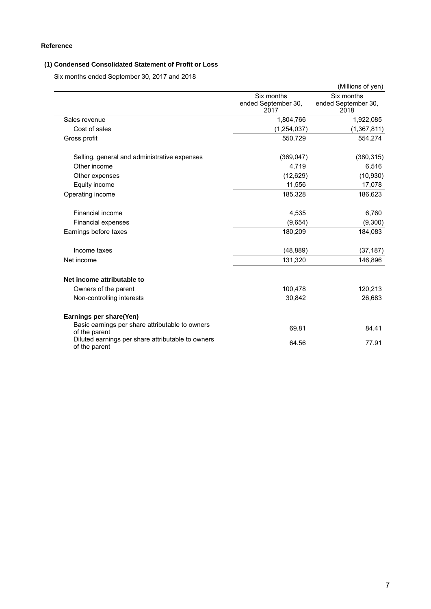### **Reference**

### **(1) Condensed Consolidated Statement of Profit or Loss**

Six months ended September 30, 2017 and 2018

|                                                                    |                                           | (Millions of yen)                         |
|--------------------------------------------------------------------|-------------------------------------------|-------------------------------------------|
|                                                                    | Six months<br>ended September 30,<br>2017 | Six months<br>ended September 30,<br>2018 |
| Sales revenue                                                      | 1,804,766                                 | 1,922,085                                 |
| Cost of sales                                                      | (1, 254, 037)                             | (1,367,811)                               |
| Gross profit                                                       | 550,729                                   | 554,274                                   |
| Selling, general and administrative expenses                       | (369, 047)                                | (380, 315)                                |
| Other income                                                       | 4,719                                     | 6,516                                     |
| Other expenses                                                     | (12,629)                                  | (10, 930)                                 |
| Equity income                                                      | 11,556                                    | 17,078                                    |
| Operating income                                                   | 185,328                                   | 186,623                                   |
| Financial income                                                   | 4,535                                     | 6,760                                     |
| Financial expenses                                                 | (9,654)                                   | (9,300)                                   |
| Earnings before taxes                                              | 180,209                                   | 184,083                                   |
| Income taxes                                                       | (48, 889)                                 | (37, 187)                                 |
| Net income                                                         | 131,320                                   | 146,896                                   |
| Net income attributable to                                         |                                           |                                           |
| Owners of the parent                                               | 100,478                                   | 120,213                                   |
| Non-controlling interests                                          | 30,842                                    | 26,683                                    |
| Earnings per share(Yen)                                            |                                           |                                           |
| Basic earnings per share attributable to owners<br>of the parent   | 69.81                                     | 84.41                                     |
| Diluted earnings per share attributable to owners<br>of the parent | 64.56                                     | 77.91                                     |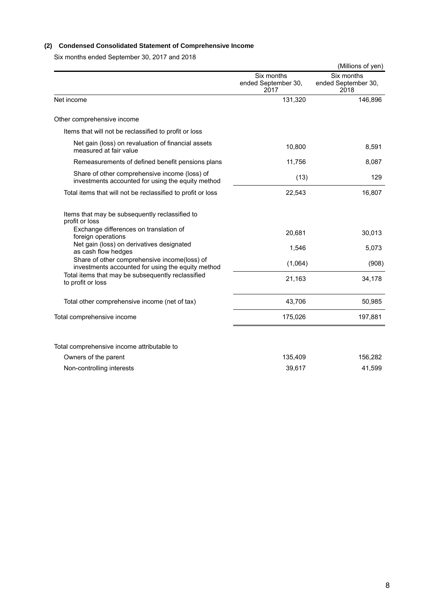### **(2) Condensed Consolidated Statement of Comprehensive Income**

Six months ended September 30, 2017 and 2018

|                                                                                                    |                                           | (Millions of yen)                         |
|----------------------------------------------------------------------------------------------------|-------------------------------------------|-------------------------------------------|
|                                                                                                    | Six months<br>ended September 30,<br>2017 | Six months<br>ended September 30,<br>2018 |
| Net income                                                                                         | 131,320                                   | 146,896                                   |
| Other comprehensive income                                                                         |                                           |                                           |
| Items that will not be reclassified to profit or loss                                              |                                           |                                           |
| Net gain (loss) on revaluation of financial assets<br>measured at fair value                       | 10,800                                    | 8,591                                     |
| Remeasurements of defined benefit pensions plans                                                   | 11,756                                    | 8,087                                     |
| Share of other comprehensive income (loss) of<br>investments accounted for using the equity method | (13)                                      | 129                                       |
| Total items that will not be reclassified to profit or loss                                        | 22,543                                    | 16,807                                    |
| Items that may be subsequently reclassified to<br>profit or loss                                   |                                           |                                           |
| Exchange differences on translation of<br>foreign operations                                       | 20,681                                    | 30,013                                    |
| Net gain (loss) on derivatives designated<br>as cash flow hedges                                   | 1,546                                     | 5,073                                     |
| Share of other comprehensive income(loss) of<br>investments accounted for using the equity method  | (1,064)                                   | (908)                                     |
| Total items that may be subsequently reclassified<br>to profit or loss                             | 21,163                                    | 34,178                                    |
| Total other comprehensive income (net of tax)                                                      | 43,706                                    | 50,985                                    |
| Total comprehensive income                                                                         | 175,026                                   | 197,881                                   |
|                                                                                                    |                                           |                                           |
| Total comprehensive income attributable to                                                         |                                           |                                           |
| Owners of the parent                                                                               | 135,409                                   | 156,282                                   |
| Non-controlling interests                                                                          | 39,617                                    | 41,599                                    |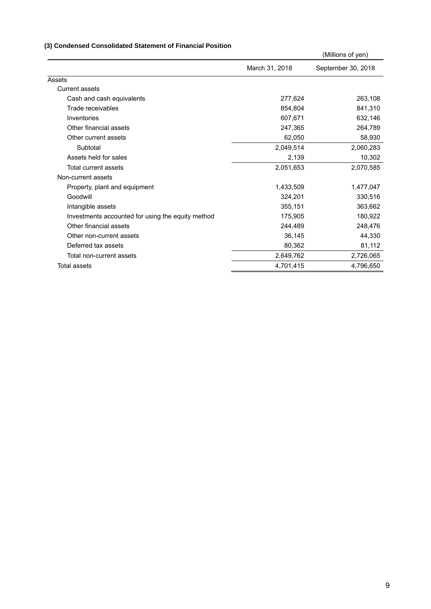### **(3) Condensed Consolidated Statement of Financial Position**

|                | (Millions of yen)  |
|----------------|--------------------|
| March 31, 2018 | September 30, 2018 |
|                |                    |
|                |                    |
| 277,624        | 263,108            |
| 854,804        | 841,310            |
| 607,671        | 632,146            |
| 247,365        | 264,789            |
| 62,050         | 58,930             |
| 2,049,514      | 2,060,283          |
| 2,139          | 10,302             |
| 2,051,653      | 2,070,585          |
|                |                    |
| 1,433,509      | 1,477,047          |
| 324,201        | 330,516            |
| 355,151        | 363,662            |
| 175,905        | 180,922            |
| 244,489        | 248,476            |
| 36,145         | 44,330             |
| 80,362         | 81,112             |
| 2,649,762      | 2,726,065          |
| 4,701,415      | 4,796,650          |
|                |                    |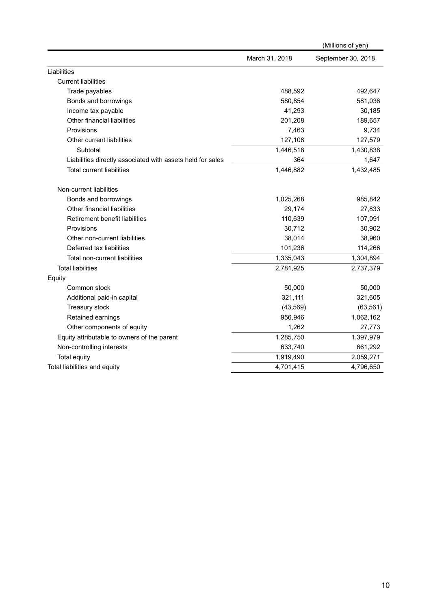|                                                            |                | (Millions of yen)  |
|------------------------------------------------------------|----------------|--------------------|
|                                                            | March 31, 2018 | September 30, 2018 |
| Liabilities                                                |                |                    |
| <b>Current liabilities</b>                                 |                |                    |
| Trade payables                                             | 488,592        | 492,647            |
| Bonds and borrowings                                       | 580,854        | 581,036            |
| Income tax payable                                         | 41,293         | 30,185             |
| Other financial liabilities                                | 201,208        | 189,657            |
| Provisions                                                 | 7,463          | 9,734              |
| Other current liabilities                                  | 127,108        | 127,579            |
| Subtotal                                                   | 1,446,518      | 1,430,838          |
| Liabilities directly associated with assets held for sales | 364            | 1,647              |
| <b>Total current liabilities</b>                           | 1,446,882      | 1,432,485          |
| Non-current liabilities                                    |                |                    |
| Bonds and borrowings                                       | 1,025,268      | 985,842            |
| Other financial liabilities                                | 29,174         | 27,833             |
| Retirement benefit liabilities                             | 110,639        | 107,091            |
| Provisions                                                 | 30,712         | 30,902             |
| Other non-current liabilities                              | 38,014         | 38,960             |
| Deferred tax liabilities                                   | 101,236        | 114,266            |
| Total non-current liabilities                              | 1,335,043      | 1,304,894          |
| <b>Total liabilities</b>                                   | 2,781,925      | 2,737,379          |
| Equity                                                     |                |                    |
| Common stock                                               | 50,000         | 50,000             |
| Additional paid-in capital                                 | 321,111        | 321,605            |
| Treasury stock                                             | (43, 569)      | (63, 561)          |
| Retained earnings                                          | 956,946        | 1,062,162          |
| Other components of equity                                 | 1,262          | 27,773             |
| Equity attributable to owners of the parent                | 1,285,750      | 1,397,979          |
| Non-controlling interests                                  | 633,740        | 661,292            |
| <b>Total equity</b>                                        | 1,919,490      | 2,059,271          |
| Total liabilities and equity                               | 4,701,415      | 4,796,650          |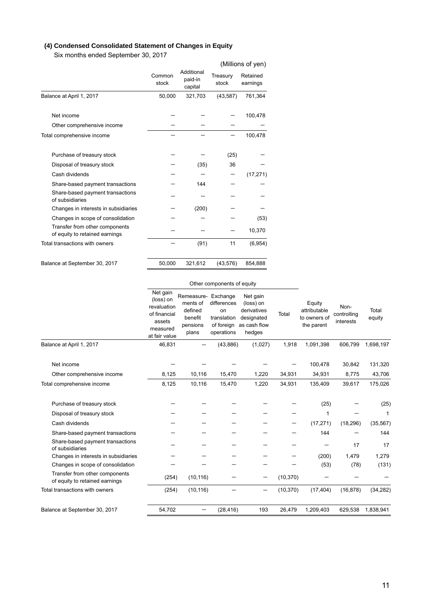# **(4) Condensed Consolidated Statement of Changes in Equity**

Six months ended September 30, 2017

|                                                                  |                 |                                  |                   | (Millions of yen)    |
|------------------------------------------------------------------|-----------------|----------------------------------|-------------------|----------------------|
|                                                                  | Common<br>stock | Additional<br>paid-in<br>capital | Treasury<br>stock | Retained<br>earnings |
| Balance at April 1, 2017                                         | 50,000          | 321,703                          | (43, 587)         | 761,364              |
| Net income                                                       |                 |                                  |                   | 100,478              |
| Other comprehensive income                                       |                 |                                  |                   |                      |
| Total comprehensive income                                       |                 |                                  |                   | 100,478              |
| Purchase of treasury stock                                       |                 |                                  | (25)              |                      |
| Disposal of treasury stock                                       |                 | (35)                             | 36                |                      |
| Cash dividends                                                   |                 |                                  |                   | (17, 271)            |
| Share-based payment transactions                                 |                 | 144                              |                   |                      |
| Share-based payment transactions<br>of subsidiaries              |                 |                                  |                   |                      |
| Changes in interests in subsidiaries                             |                 | (200)                            |                   |                      |
| Changes in scope of consolidation                                |                 |                                  |                   | (53)                 |
| Transfer from other components<br>of equity to retained earnings |                 |                                  |                   | 10,370               |
| Total transactions with owners                                   |                 | (91)                             | 11                | (6,954)              |
| Balance at September 30, 2017                                    | 50,000          | 321,612                          | (43, 576)         | 854,888              |

#### Other components of equity

| Balance at April 1, 2017<br>46,831<br>(1,027)<br>1,918<br>1,091,398<br>606,799<br>1,698,197<br>(43, 886)<br>100,478<br>30,842<br>131,320<br>Net income<br>15,470<br>43,706<br>Other comprehensive income<br>8,125<br>10,116<br>1,220<br>34,931<br>34,931<br>8,775<br>8,125<br>1,220<br>34,931<br>175,026<br>10,116<br>15,470<br>135,409<br>39,617<br>Total comprehensive income<br>(25)<br>(25)<br>Purchase of treasury stock<br>Disposal of treasury stock<br>1<br>(17, 271)<br>Cash dividends<br>(18, 296)<br>(35, 567)<br>144<br>144<br>Share-based payment transactions<br>Share-based payment transactions<br>17<br>17<br>of subsidiaries<br>(200)<br>1,479<br>1,279<br>Changes in interests in subsidiaries<br>Changes in scope of consolidation<br>(53)<br>(78)<br>(131)<br>Transfer from other components<br>(254)<br>(10, 116)<br>(10, 370)<br>-<br>of equity to retained earnings<br>Total transactions with owners<br>(254)<br>(10, 116)<br>(10, 370)<br>(17, 404)<br>(16, 878)<br>(34, 282)<br>193<br>54,702<br>26,479<br>1,209,403<br>629,538<br>1,838,941<br>Balance at September 30, 2017<br>(28, 416) | Net gain<br>(loss) on<br>revaluation<br>of financial<br>assets<br>measured<br>at fair value | Remeasure-<br>ments of<br>defined<br>benefit<br>pensions<br>plans | Exchange<br>differences<br>on<br>translation<br>of foreign<br>operations | Net gain<br>(loss) on<br>derivatives<br>designated<br>as cash flow<br>hedges | Total | Equity<br>attributable<br>to owners of<br>the parent | Non-<br>controlling<br>interests | Total<br>equity |
|-----------------------------------------------------------------------------------------------------------------------------------------------------------------------------------------------------------------------------------------------------------------------------------------------------------------------------------------------------------------------------------------------------------------------------------------------------------------------------------------------------------------------------------------------------------------------------------------------------------------------------------------------------------------------------------------------------------------------------------------------------------------------------------------------------------------------------------------------------------------------------------------------------------------------------------------------------------------------------------------------------------------------------------------------------------------------------------------------------------------------|---------------------------------------------------------------------------------------------|-------------------------------------------------------------------|--------------------------------------------------------------------------|------------------------------------------------------------------------------|-------|------------------------------------------------------|----------------------------------|-----------------|
|                                                                                                                                                                                                                                                                                                                                                                                                                                                                                                                                                                                                                                                                                                                                                                                                                                                                                                                                                                                                                                                                                                                       |                                                                                             |                                                                   |                                                                          |                                                                              |       |                                                      |                                  |                 |
|                                                                                                                                                                                                                                                                                                                                                                                                                                                                                                                                                                                                                                                                                                                                                                                                                                                                                                                                                                                                                                                                                                                       |                                                                                             |                                                                   |                                                                          |                                                                              |       |                                                      |                                  |                 |
|                                                                                                                                                                                                                                                                                                                                                                                                                                                                                                                                                                                                                                                                                                                                                                                                                                                                                                                                                                                                                                                                                                                       |                                                                                             |                                                                   |                                                                          |                                                                              |       |                                                      |                                  |                 |
|                                                                                                                                                                                                                                                                                                                                                                                                                                                                                                                                                                                                                                                                                                                                                                                                                                                                                                                                                                                                                                                                                                                       |                                                                                             |                                                                   |                                                                          |                                                                              |       |                                                      |                                  |                 |
|                                                                                                                                                                                                                                                                                                                                                                                                                                                                                                                                                                                                                                                                                                                                                                                                                                                                                                                                                                                                                                                                                                                       |                                                                                             |                                                                   |                                                                          |                                                                              |       |                                                      |                                  |                 |
|                                                                                                                                                                                                                                                                                                                                                                                                                                                                                                                                                                                                                                                                                                                                                                                                                                                                                                                                                                                                                                                                                                                       |                                                                                             |                                                                   |                                                                          |                                                                              |       |                                                      |                                  |                 |
|                                                                                                                                                                                                                                                                                                                                                                                                                                                                                                                                                                                                                                                                                                                                                                                                                                                                                                                                                                                                                                                                                                                       |                                                                                             |                                                                   |                                                                          |                                                                              |       |                                                      |                                  |                 |
|                                                                                                                                                                                                                                                                                                                                                                                                                                                                                                                                                                                                                                                                                                                                                                                                                                                                                                                                                                                                                                                                                                                       |                                                                                             |                                                                   |                                                                          |                                                                              |       |                                                      |                                  |                 |
|                                                                                                                                                                                                                                                                                                                                                                                                                                                                                                                                                                                                                                                                                                                                                                                                                                                                                                                                                                                                                                                                                                                       |                                                                                             |                                                                   |                                                                          |                                                                              |       |                                                      |                                  |                 |
|                                                                                                                                                                                                                                                                                                                                                                                                                                                                                                                                                                                                                                                                                                                                                                                                                                                                                                                                                                                                                                                                                                                       |                                                                                             |                                                                   |                                                                          |                                                                              |       |                                                      |                                  |                 |
|                                                                                                                                                                                                                                                                                                                                                                                                                                                                                                                                                                                                                                                                                                                                                                                                                                                                                                                                                                                                                                                                                                                       |                                                                                             |                                                                   |                                                                          |                                                                              |       |                                                      |                                  |                 |
|                                                                                                                                                                                                                                                                                                                                                                                                                                                                                                                                                                                                                                                                                                                                                                                                                                                                                                                                                                                                                                                                                                                       |                                                                                             |                                                                   |                                                                          |                                                                              |       |                                                      |                                  |                 |
|                                                                                                                                                                                                                                                                                                                                                                                                                                                                                                                                                                                                                                                                                                                                                                                                                                                                                                                                                                                                                                                                                                                       |                                                                                             |                                                                   |                                                                          |                                                                              |       |                                                      |                                  |                 |
|                                                                                                                                                                                                                                                                                                                                                                                                                                                                                                                                                                                                                                                                                                                                                                                                                                                                                                                                                                                                                                                                                                                       |                                                                                             |                                                                   |                                                                          |                                                                              |       |                                                      |                                  |                 |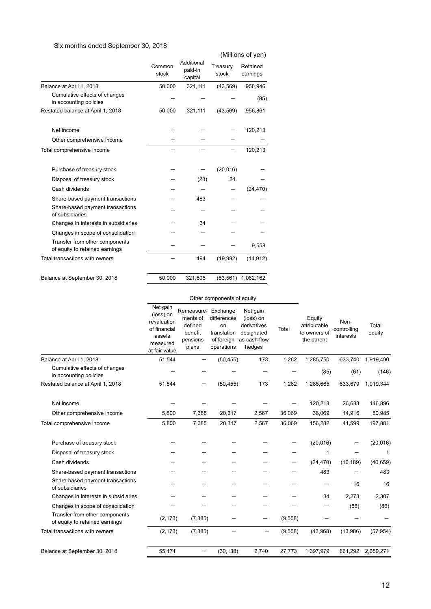### Six months ended September 30, 2018

|                                                                  |                 |                                  |                   | (Millions of yen)    |
|------------------------------------------------------------------|-----------------|----------------------------------|-------------------|----------------------|
|                                                                  | Common<br>stock | Additional<br>paid-in<br>capital | Treasury<br>stock | Retained<br>earnings |
| Balance at April 1, 2018                                         | 50,000          | 321,111                          | (43, 569)         | 956,946              |
| Cumulative effects of changes<br>in accounting policies          |                 |                                  |                   | (85)                 |
| Restated balance at April 1, 2018                                | 50,000          | 321,111                          | (43, 569)         | 956,861              |
| Net income                                                       |                 |                                  |                   | 120,213              |
| Other comprehensive income                                       |                 |                                  |                   |                      |
| Total comprehensive income                                       |                 |                                  |                   | 120,213              |
| Purchase of treasury stock                                       |                 |                                  | (20, 016)         |                      |
| Disposal of treasury stock                                       |                 | (23)                             | 24                |                      |
| Cash dividends                                                   |                 |                                  |                   | (24, 470)            |
| Share-based payment transactions                                 |                 | 483                              |                   |                      |
| Share-based payment transactions<br>of subsidiaries              |                 |                                  |                   |                      |
| Changes in interests in subsidiaries                             |                 | 34                               |                   |                      |
| Changes in scope of consolidation                                |                 |                                  |                   |                      |
| Transfer from other components<br>of equity to retained earnings |                 |                                  |                   | 9,558                |
| Total transactions with owners                                   |                 | 494                              | (19,992)          | (14, 912)            |
| Balance at September 30, 2018                                    | 50,000          | 321,605                          | (63, 561)         | 1,062,162            |

#### Other components of equity

|                                                                  | Net gain<br>(loss) on<br>revaluation<br>of financial<br>assets<br>measured<br>at fair value | Remeasure- Exchange<br>ments of<br>defined<br>benefit<br>pensions<br>plans | differences<br>on<br>translation<br>of foreign<br>operations | Net gain<br>(loss) on<br>derivatives<br>designated<br>as cash flow<br>hedges | Total   | Equity<br>attributable<br>to owners of<br>the parent | Non-<br>controlling<br>interests | Total<br>equity   |
|------------------------------------------------------------------|---------------------------------------------------------------------------------------------|----------------------------------------------------------------------------|--------------------------------------------------------------|------------------------------------------------------------------------------|---------|------------------------------------------------------|----------------------------------|-------------------|
| Balance at April 1, 2018                                         | 51,544                                                                                      |                                                                            | (50, 455)                                                    | 173                                                                          | 1,262   | 1,285,750                                            | 633,740                          | 1,919,490         |
| Cumulative effects of changes<br>in accounting policies          |                                                                                             |                                                                            |                                                              |                                                                              |         | (85)                                                 | (61)                             | (146)             |
| Restated balance at April 1, 2018                                | 51,544                                                                                      |                                                                            | (50, 455)                                                    | 173                                                                          | 1,262   | 1,285,665                                            | 633,679                          | 1,919,344         |
| Net income                                                       |                                                                                             |                                                                            |                                                              |                                                                              |         | 120,213                                              | 26,683                           | 146,896           |
| Other comprehensive income                                       | 5,800                                                                                       | 7,385                                                                      | 20,317                                                       | 2,567                                                                        | 36,069  | 36,069                                               | 14,916                           | 50,985            |
| Total comprehensive income                                       | 5,800                                                                                       | 7,385                                                                      | 20,317                                                       | 2,567                                                                        | 36,069  | 156,282                                              | 41,599                           | 197,881           |
| Purchase of treasury stock                                       |                                                                                             |                                                                            |                                                              |                                                                              |         | (20,016)                                             |                                  | (20, 016)         |
| Disposal of treasury stock                                       |                                                                                             |                                                                            |                                                              |                                                                              |         | 1                                                    |                                  | 1                 |
| Cash dividends                                                   |                                                                                             |                                                                            |                                                              |                                                                              |         | (24, 470)                                            | (16, 189)                        | (40, 659)         |
| Share-based payment transactions                                 |                                                                                             |                                                                            |                                                              |                                                                              |         | 483                                                  |                                  | 483               |
| Share-based payment transactions<br>of subsidiaries              |                                                                                             |                                                                            |                                                              |                                                                              |         |                                                      | 16                               | 16                |
| Changes in interests in subsidiaries                             |                                                                                             |                                                                            |                                                              |                                                                              |         | 34                                                   | 2,273                            | 2,307             |
| Changes in scope of consolidation                                |                                                                                             |                                                                            |                                                              |                                                                              |         |                                                      | (86)                             | (86)              |
| Transfer from other components<br>of equity to retained earnings | (2, 173)                                                                                    | (7, 385)                                                                   |                                                              | —                                                                            | (9,558) |                                                      |                                  |                   |
| Total transactions with owners                                   | (2, 173)                                                                                    | (7, 385)                                                                   |                                                              | —                                                                            | (9,558) | (43,968)                                             | (13,986)                         | (57, 954)         |
| Balance at September 30, 2018                                    | 55,171                                                                                      |                                                                            | (30, 138)                                                    | 2,740                                                                        | 27,773  | 1,397,979                                            |                                  | 661,292 2,059,271 |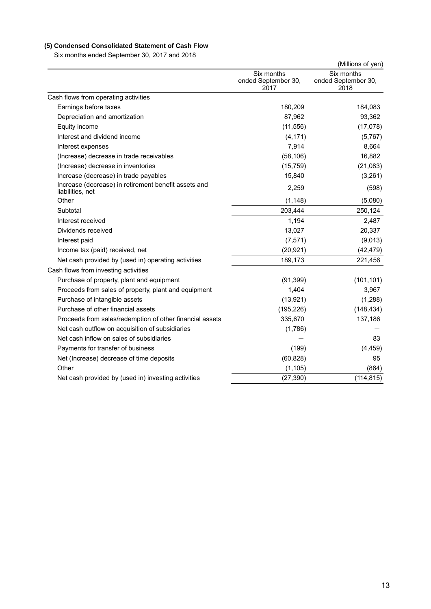# **(5) Condensed Consolidated Statement of Cash Flow**

Six months ended September 30, 2017 and 2018

|                                                                          |                                           | (Millions of yen)                         |
|--------------------------------------------------------------------------|-------------------------------------------|-------------------------------------------|
|                                                                          | Six months<br>ended September 30,<br>2017 | Six months<br>ended September 30,<br>2018 |
| Cash flows from operating activities                                     |                                           |                                           |
| Earnings before taxes                                                    | 180,209                                   | 184,083                                   |
| Depreciation and amortization                                            | 87,962                                    | 93,362                                    |
| Equity income                                                            | (11, 556)                                 | (17,078)                                  |
| Interest and dividend income                                             | (4, 171)                                  | (5,767)                                   |
| Interest expenses                                                        | 7,914                                     | 8,664                                     |
| (Increase) decrease in trade receivables                                 | (58, 106)                                 | 16,882                                    |
| (Increase) decrease in inventories                                       | (15, 759)                                 | (21,083)                                  |
| Increase (decrease) in trade payables                                    | 15,840                                    | (3,261)                                   |
| Increase (decrease) in retirement benefit assets and<br>liabilities, net | 2,259                                     | (598)                                     |
| Other                                                                    | (1, 148)                                  | (5,080)                                   |
| Subtotal                                                                 | 203,444                                   | 250,124                                   |
| Interest received                                                        | 1,194                                     | 2,487                                     |
| Dividends received                                                       | 13,027                                    | 20,337                                    |
| Interest paid                                                            | (7, 571)                                  | (9,013)                                   |
| Income tax (paid) received, net                                          | (20, 921)                                 | (42, 479)                                 |
| Net cash provided by (used in) operating activities                      | 189,173                                   | 221,456                                   |
| Cash flows from investing activities                                     |                                           |                                           |
| Purchase of property, plant and equipment                                | (91, 399)                                 | (101, 101)                                |
| Proceeds from sales of property, plant and equipment                     | 1,404                                     | 3,967                                     |
| Purchase of intangible assets                                            | (13, 921)                                 | (1, 288)                                  |
| Purchase of other financial assets                                       | (195, 226)                                | (148, 434)                                |
| Proceeds from sales/redemption of other financial assets                 | 335,670                                   | 137,186                                   |
| Net cash outflow on acquisition of subsidiaries                          | (1,786)                                   |                                           |
| Net cash inflow on sales of subsidiaries                                 |                                           | 83                                        |
| Payments for transfer of business                                        | (199)                                     | (4, 459)                                  |
| Net (Increase) decrease of time deposits                                 | (60, 828)                                 | 95                                        |
| Other                                                                    | (1, 105)                                  | (864)                                     |
| Net cash provided by (used in) investing activities                      | (27, 390)                                 | (114, 815)                                |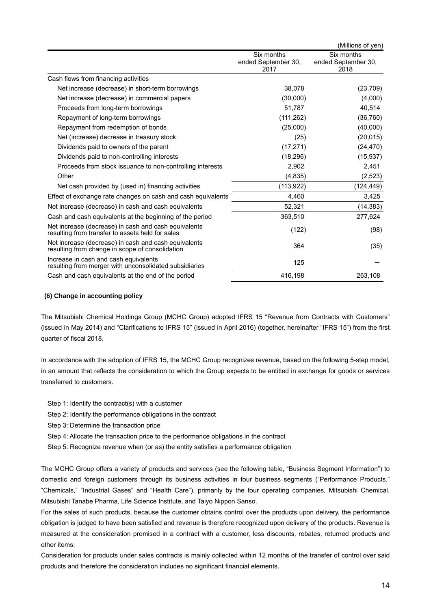|                                                                                                          |                                           | (Millions of yen)                         |
|----------------------------------------------------------------------------------------------------------|-------------------------------------------|-------------------------------------------|
|                                                                                                          | Six months<br>ended September 30,<br>2017 | Six months<br>ended September 30,<br>2018 |
| Cash flows from financing activities                                                                     |                                           |                                           |
| Net increase (decrease) in short-term borrowings                                                         | 38,078                                    | (23, 709)                                 |
| Net increase (decrease) in commercial papers                                                             | (30,000)                                  | (4,000)                                   |
| Proceeds from long-term borrowings                                                                       | 51,787                                    | 40,514                                    |
| Repayment of long-term borrowings                                                                        | (111, 262)                                | (36, 760)                                 |
| Repayment from redemption of bonds                                                                       | (25,000)                                  | (40,000)                                  |
| Net (increase) decrease in treasury stock                                                                | (25)                                      | (20, 015)                                 |
| Dividends paid to owners of the parent                                                                   | (17, 271)                                 | (24, 470)                                 |
| Dividends paid to non-controlling interests                                                              | (18, 296)                                 | (15, 937)                                 |
| Proceeds from stock issuance to non-controlling interests                                                | 2,902                                     | 2,451                                     |
| Other                                                                                                    | (4,835)                                   | (2, 523)                                  |
| Net cash provided by (used in) financing activities                                                      | (113.922)                                 | (124, 449)                                |
| Effect of exchange rate changes on cash and cash equivalents                                             | 4,460                                     | 3,425                                     |
| Net increase (decrease) in cash and cash equivalents                                                     | 52,321                                    | (14, 383)                                 |
| Cash and cash equivalents at the beginning of the period                                                 | 363,510                                   | 277,624                                   |
| Net increase (decrease) in cash and cash equivalents<br>resulting from transfer to assets held for sales | (122)                                     | (98)                                      |
| Net increase (decrease) in cash and cash equivalents<br>resulting from change in scope of consolidation  | 364                                       | (35)                                      |
| Increase in cash and cash equivalents<br>resulting from merger with unconsolidated subsidiaries          | 125                                       |                                           |
| Cash and cash equivalents at the end of the period                                                       | 416,198                                   | 263,108                                   |

#### **(6) Change in accounting policy**

The Mitsubishi Chemical Holdings Group (MCHC Group) adopted IFRS 15 "Revenue from Contracts with Customers" (issued in May 2014) and "Clarifications to IFRS 15" (issued in April 2016) (together, hereinafter "IFRS 15") from the first quarter of fiscal 2018.

In accordance with the adoption of IFRS 15, the MCHC Group recognizes revenue, based on the following 5-step model, in an amount that reflects the consideration to which the Group expects to be entitled in exchange for goods or services transferred to customers.

- Step 1: Identify the contract(s) with a customer
- Step 2: Identify the performance obligations in the contract
- Step 3: Determine the transaction price
- Step 4: Allocate the transaction price to the performance obligations in the contract
- Step 5: Recognize revenue when (or as) the entity satisfies a performance obligation

The MCHC Group offers a variety of products and services (see the following table, "Business Segment Information") to domestic and foreign customers through its business activities in four business segments ("Performance Products," "Chemicals," "Industrial Gases" and "Health Care"), primarily by the four operating companies, Mitsubishi Chemical, Mitsubishi Tanabe Pharma, Life Science Institute, and Taiyo Nippon Sanso.

For the sales of such products, because the customer obtains control over the products upon delivery, the performance obligation is judged to have been satisfied and revenue is therefore recognized upon delivery of the products. Revenue is measured at the consideration promised in a contract with a customer, less discounts, rebates, returned products and other items.

Consideration for products under sales contracts is mainly collected within 12 months of the transfer of control over said products and therefore the consideration includes no significant financial elements.